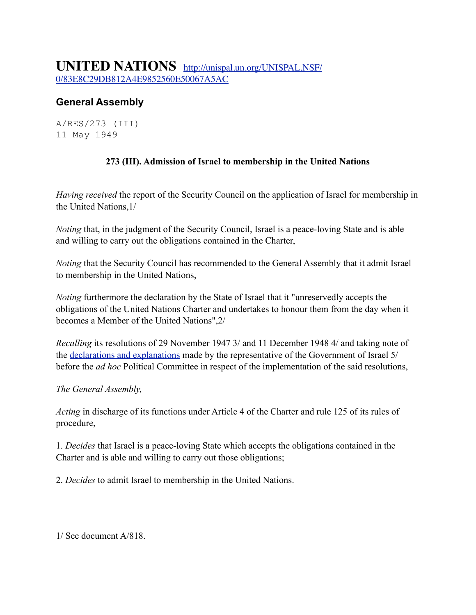## **General Assembly**

A/RES/273 (III) 11 May 1949

## **273 (III). Admission of Israel to membership in the United Nations**

*Having received* the report of the Security Council on the application of Israel for membership in the United Nations,1/

*Noting* that, in the judgment of the Security Council, Israel is a peace-loving State and is able and willing to carry out the obligations contained in the Charter,

*Noting* that the Security Council has recommended to the General Assembly that it admit Israel to membership in the United Nations,

*Noting* furthermore the declaration by the State of Israel that it "unreservedly accepts the obligations of the United Nations Charter and undertakes to honour them from the day when it becomes a Member of the United Nations",2/

*Recalling* its resolutions of 29 November 1947 3/ and 11 December 1948 4/ and taking note of the [declarations and explanations](http://unispal.un.org/UNISPAL.NSF/85255a0a0010ae82852555340060479d/1db943e43c280a26052565fa004d8174?OpenDocument#Mr.%20EBAN%20%28Israel%29%20understood%20tha) made by the representative of the Government of Israel 5/ before the *ad hoc* Political Committee in respect of the implementation of the said resolutions,

*The General Assembly,*

*Acting* in discharge of its functions under Article 4 of the Charter and rule 125 of its rules of procedure,

1. *Decides* that Israel is a peace-loving State which accepts the obligations contained in the Charter and is able and willing to carry out those obligations;

2. *Decides* to admit Israel to membership in the United Nations.

1/ See document A/818.

 $\mathcal{L}_\text{max}$  , where  $\mathcal{L}_\text{max}$  is the set of  $\mathcal{L}_\text{max}$